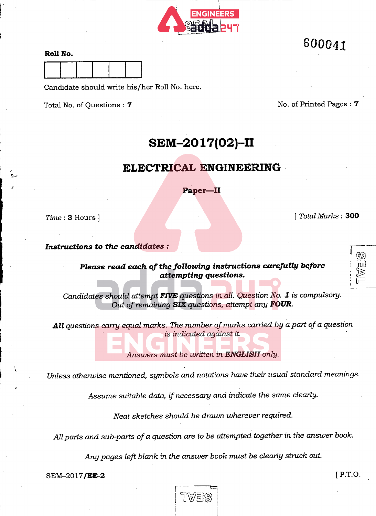

# 600041

### RoU No.



Candidate should write his/her Roll No. here.

Total No. of Questions : 7 No. of Printed Pages : 7

## SEM-2017(02)-II

### ELECTRICAL ENGINEERING

Paper-II

Time : 3 Hours ] [ Total Marks : 300

e<br>G [m]

 $\Box$ 

Instructions to the candidates :

Please read each of the following instructions carefully before attempting questions.

Candidates should attempt FIVE questions in all. Question No. 1 is compulsory. Out of remaining SIX questions, attempt any FOUR.

All questions carry equal marks. The number of marks carried by a part of a question is indicated against it.

Answers must be written in ENGLISH only.

Unless otherwise mentioned, symbols and notations have their usual standard meanings.

Assume suitable data, if necessary and indicate the same clearly.

Neat sketches should be drawn wherever required.

All parts and sub-parts of a question are to be attempted together in the answer book.

Any pages left blank in the answer book must be clearly struck out.

SEM-2017**/EE-2** [ P.T.O.

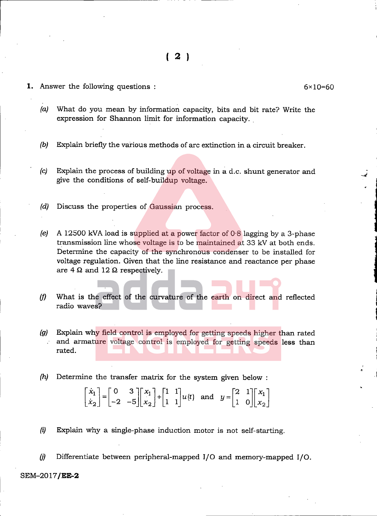**1.** Answer the following questions  $\cdot$  6x10=60

 $-$ 

- {a) What do you mean by information capacity, bits and bit rate? Write the expression for Shannon limit for information capacity.
- (b) Explain briefly the various methods of arc extinction in a circuit breaker.
- (c) Explain the process of building up of voltage in a d.c. shunt generator and give the conditions of self-buildup voltage.
- (d) Discuss the properties of Gaussian process.
- (e) A 12500 kVA load is supplied at a power factor of  $0.8$  lagging by a 3-phase transmission line whose voltage is to be maintained at 33 kV at both ends. determine the capacity of the synchronous condenser to be installed for voltage regulation. Given that the line resistance and reactance per phase 1 are  $4 \Omega$  and  $12 \Omega$  respectively.
- $(f)$  What is the effect of the curvature of the earth on direct and reflected radio waves?
- (g) Explain why field control is employed for getting speeds higher than rated and armature voltage control is employed for getting speeds less than rated.
- (h) Determine the transfer matrix for the system given below :

$$
\begin{bmatrix} \dot{x}_1 \\ \dot{x}_2 \end{bmatrix} = \begin{bmatrix} 0 & 3 \\ -2 & -5 \end{bmatrix} \begin{bmatrix} x_1 \\ x_2 \end{bmatrix} + \begin{bmatrix} 1 & 1 \\ 1 & 1 \end{bmatrix} u(t) \text{ and } y = \begin{bmatrix} 2 & 1 \\ 1 & 0 \end{bmatrix} \begin{bmatrix} x_1 \\ x_2 \end{bmatrix}
$$

- (i) Explain why a single-phase induction motor is not self-starting.
- (j) Differentiate between peripheral-mapped I/O and memory-mapped I/O.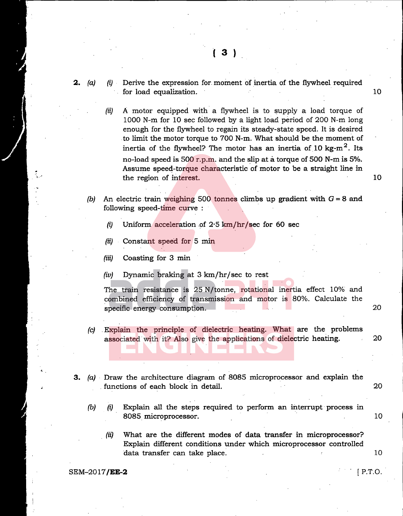- **2.** (a) (i) Derive the expression for moment of inertia of the flywheel required for load equalization. 10
	- (ii) A motor equipped with a flywheel is to supply a load torque of 1000 N-m for 10 sec followed by a light load period of 200 N-m long enough for the flywheel to regain its steady-state speed. It is desired to limit the motor torque to 700 N-m. What should be the moment of inertia of the flywheel? The motor has an inertia of 10 kg- $m<sup>2</sup>$ . Its no-load speed is 500 r.p.m. and the slip at a torque of 500 N-m is 5%. Assume speed-torque characteristic of motor to be a straight line in the region of interest. 10
	- (b) An electric train weighing 500 tonnes climbs up gradient with  $G = 8$  and following speed-time curve :
		- (i) Uniform acceleration of  $2.5 \text{ km/hr/sec}$  for 60 sec
		- (ii) Constant speed for 5 min
		- $(iii)$  Coasting for 3 min
		- (iv) Dynamic braking at 3 km/hr/sec to rest

The train resistance is 25 N/tonne, rotational inertia effect 10% and combined efficiency of transmission and motor is 80%. Calculate the specific energy consumption. The consumption of the consumption of the consumption of the consumption of the consumption of the consumption of the consumption of the consumption of the consumption of the consumption of the

- (c) Explain the principle of dielectric heating. What are the problems associated with it? Also give the applications of dielectric heating. 20
- 3. (a) Draw the architecture diagram of 8085 microprocessor and explain the functions of each block in detail. 20
	-
	- $(b)$  (i) Explain all the steps required to perform an interrupt process in 8085 microprocessor. . 10
		- (ii) What are the different modes of data transfer in microprocessor? Explain different conditions under which microprocessor controlled data transfer can take place. The contract of the contract of the contract of the contract of the contract of  $10$

### $SEM-2017/EE-2$  P.T.O.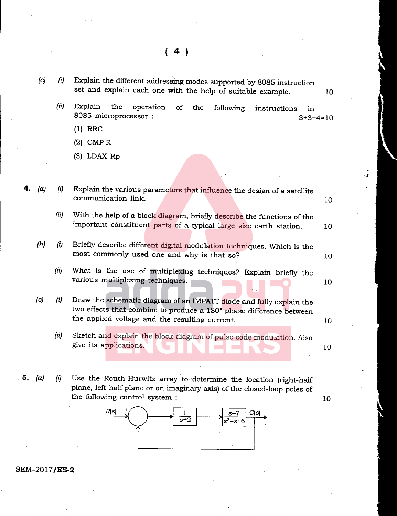|    | (c) | (i)  | Explain the different addressing modes supported by 8085 instruction<br>set and explain each one with the help of suitable example.                                                          | 10 |
|----|-----|------|----------------------------------------------------------------------------------------------------------------------------------------------------------------------------------------------|----|
|    |     | (ii) | Explain<br>the<br>operation<br>of<br>the<br>following<br>instructions<br>in<br>8085 microprocessor :<br>$3+3+4=10$                                                                           |    |
|    |     |      | $(1)$ RRC                                                                                                                                                                                    |    |
|    |     |      | $(2)$ CMP R                                                                                                                                                                                  |    |
|    |     |      | $(3)$ LDAX Rp                                                                                                                                                                                |    |
|    |     |      |                                                                                                                                                                                              |    |
|    | (a) | (i)  | Explain the various parameters that influence the design of a satellite<br>communication link.                                                                                               | 10 |
|    |     | (ii) | With the help of a block diagram, briefly describe the functions of the<br>important constituent parts of a typical large size earth station.                                                | 10 |
|    | (b) | (i)  | Briefly describe different digital modulation techniques. Which is the<br>most commonly used one and why is that so?                                                                         | 10 |
|    |     | (ii) | What is the use of multiplexing techniques? Explain briefly the<br>various multiplexing techniques.                                                                                          | 10 |
|    | (c) | (i)  | Draw the schematic diagram of an IMPATT diode and fully explain the<br>two effects that combine to produce a 180° phase difference between<br>the applied voltage and the resulting current. |    |
|    |     |      |                                                                                                                                                                                              | 10 |
|    |     | (ii) | Sketch and explain the block diagram of pulse code modulation. Also<br>give its applications.                                                                                                | 10 |
| 5. | (a) | (i)  | Use the Routh-Hurwitz array to determine the location (right-half<br>plane, left-half plane or on imaginary axis) of the closed-loop poles of<br>the following control system :              | 10 |
|    |     |      |                                                                                                                                                                                              |    |



SEM-2017/EE-2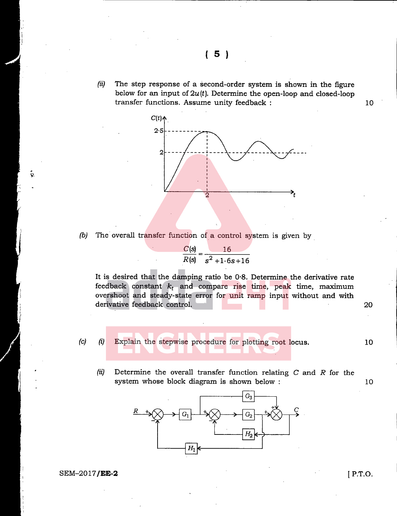(ii) The step response of a second-order system is shown in the figure below for an input of  $2u(t)$ . Determine the open-loop and closed-loop transfer functions. Assume unity feedback :  $10$ 



(b) The overall transfer function of a control system is given by



It is desired that the damping ratio be 0-8. Determine the derivative rate feedback constant  $k_t$  and compare rise time, peak time, maximum overshoot and steady-state error for unit ramp input without and with derivative feedback control. 20

(c) (i) Explain the stepwise procedure for plotting root locus. 10

(ii) Determine the overall transfer function relating  $C$  and  $R$  for the system whose block diagram is shown below :  $10$ 



### $SEM-2017/EE-2$  [ P.T.O.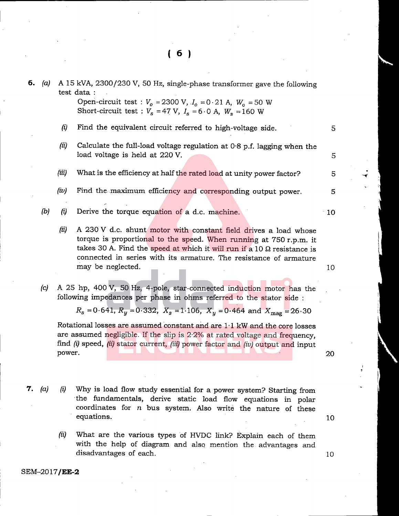| б. | (a) | A 15 kVA, 2300/230 V, 50 Hz, single-phase transformer gave the following<br>test data: |                                                                                                                                                                                                                                                                                               |    |  |
|----|-----|----------------------------------------------------------------------------------------|-----------------------------------------------------------------------------------------------------------------------------------------------------------------------------------------------------------------------------------------------------------------------------------------------|----|--|
|    |     |                                                                                        | Open-circuit test : $V_0 = 2300$ V, $I_0 = 0.21$ A, $W_0 = 50$ W<br>Short-circuit test : $V_s = 47$ V, $I_s = 6.0$ A, $W_s = 160$ W                                                                                                                                                           |    |  |
|    |     | $\left(\ddot{u}\right)$                                                                | Find the equivalent circuit referred to high-voltage side.                                                                                                                                                                                                                                    | 5  |  |
|    |     | (ii)                                                                                   | Calculate the full-load voltage regulation at $0.8$ p.f. lagging when the<br>load voltage is held at 220 V.                                                                                                                                                                                   | 5  |  |
|    |     | (iii)                                                                                  | What is the efficiency at half the rated load at unity power factor?                                                                                                                                                                                                                          | 5  |  |
|    |     | (iv)                                                                                   | Find the maximum efficiency and corresponding output power.                                                                                                                                                                                                                                   | 5  |  |
|    | (b) | $\left(\ddot{\theta}\right)$                                                           | Derive the torque equation of a d.c. machine.                                                                                                                                                                                                                                                 | 10 |  |
|    |     | (ii)                                                                                   | A 230 V d.c. shunt motor with constant field drives a load whose<br>torque is proportional to the speed. When running at 750 r.p.m. it<br>takes 30 A. Find the speed at which it will run if a 10 $\Omega$ resistance is<br>connected in series with its armature. The resistance of armature |    |  |
|    |     |                                                                                        | may be neglected.                                                                                                                                                                                                                                                                             | 10 |  |
|    | (c) |                                                                                        | A 25 hp, 400 V, 50 Hz, 4-pole, star-connected induction motor has the<br>following impedances per phase in ohms referred to the stator side :<br>$R_s = 0.641$ , $R_u = 0.332$ , $X_s = 1.106$ , $X_u = 0.464$ and $X_{mag} = 26.30$                                                          |    |  |
|    |     |                                                                                        | Rotational losses are assumed constant and are 1.1 kW and the core losses<br>are assumed negligible. If the slip is 2.2% at rated voltage and frequency,<br>find (i) speed, (ii) stator current, (iii) power factor and (iv) output and input                                                 |    |  |

power. 20

7. (a) (i) Why is load flow study essential for a power system? Starting from the fundamentals, derive static load flow equations in polar coordinates for  $n$  bus system. Also write the nature of these equations. The set of the set of the set of the set of the set of the set of the set of the set of the set of the set of the set of the set of the set of the set of the set of the set of the set of the set of the set of th

> (ii) What are the various types of HVDC link? Explain each of them with the help of diagram and also mention the advantages and disadvantages of each. 10

SEM-2017/EE-2